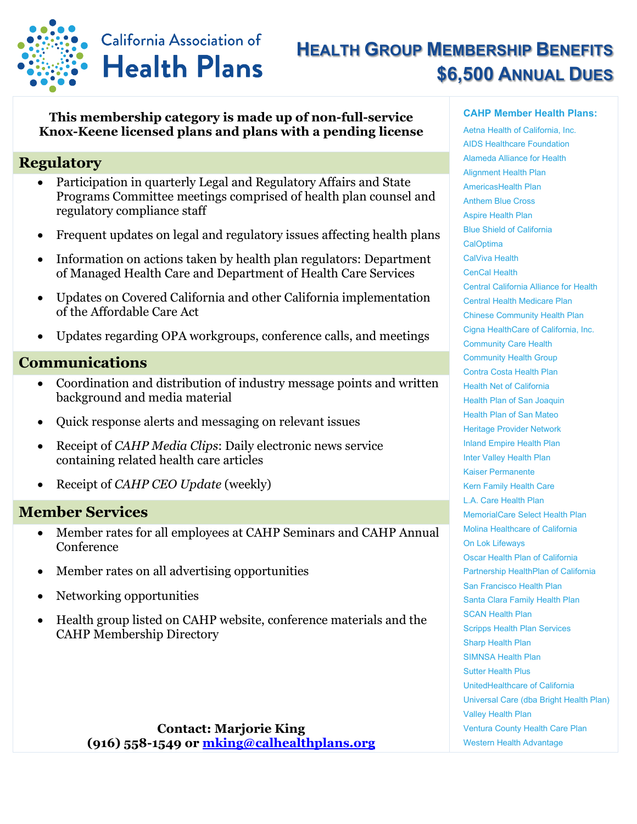

# **HEALTH GROUP MEMBERSHIP BENEFITS \$6,500 ANNUAL DUES**

#### **This membership category is made up of non-full-service Knox-Keene licensed plans and plans with a pending license**

## **Regulatory**

- Participation in quarterly Legal and Regulatory Affairs and State Programs Committee meetings comprised of health plan counsel and regulatory compliance staff
- Frequent updates on legal and regulatory issues affecting health plans
- Information on actions taken by health plan regulators: Department of Managed Health Care and Department of Health Care Services
- Updates on Covered California and other California implementation of the Affordable Care Act
- Updates regarding OPA workgroups, conference calls, and meetings

### **Communications**

- Coordination and distribution of industry message points and written background and media material
- Quick response alerts and messaging on relevant issues
- Receipt of *CAHP Media Clips*: Daily electronic news service containing related health care articles
- Receipt of *CAHP CEO Update* (weekly)

#### **Member Services**

- Member rates for all employees at CAHP Seminars and CAHP Annual Conference
- Member rates on all advertising opportunities
- Networking opportunities
- Health group listed on CAHP website, conference materials and the CAHP Membership Directory

#### **CAHP Member Health Plans:**

Aetna Health of California, Inc. AIDS Healthcare Foundation Alameda Alliance for Health Alignment Health Plan AmericasHealth Plan Anthem Blue Cross Aspire Health Plan Blue Shield of California **CalOptima** CalViva Health CenCal Health Central California Alliance for Health Central Health Medicare Plan Chinese Community Health Plan Cigna HealthCare of California, Inc. Community Care Health Community Health Group Contra Costa Health Plan Health Net of California Health Plan of San Joaquin Health Plan of San Mateo Heritage Provider Network Inland Empire Health Plan Inter Valley Health Plan Kaiser Permanente Kern Family Health Care L.A. Care Health Plan MemorialCare Select Health Plan Molina Healthcare of California On Lok Lifeways Oscar Health Plan of California Partnership HealthPlan of California San Francisco Health Plan Santa Clara Family Health Plan SCAN Health Plan Scripps Health Plan Services Sharp Health Plan SIMNSA Health Plan Sutter Health Plus UnitedHealthcare of California Universal Care (dba Bright Health Plan) Valley Health Plan Ventura County Health Care Plan Western Health Advantage